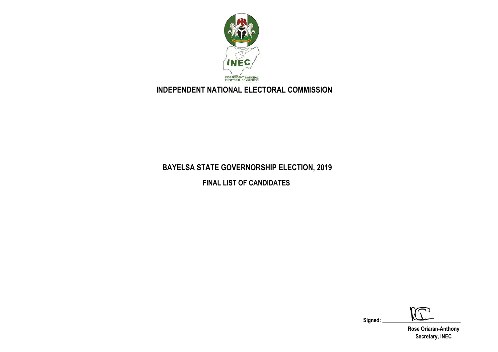

# **INDEPENDENT NATIONAL ELECTORAL COMMISSION**

# **BAYELSA STATE GOVERNORSHIP ELECTION, 2019**

**FINAL LIST OF CANDIDATES**

Signed:

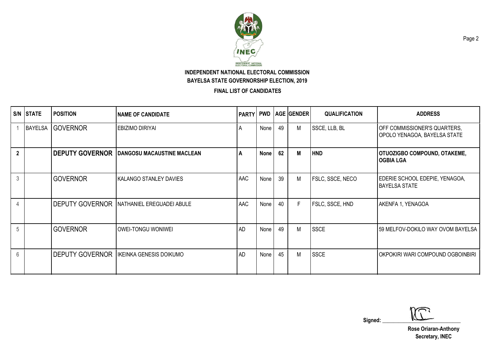

**FINAL LIST OF CANDIDATES**

|                | S/N STATE      | <b>POSITION</b>        | <b>NAME OF CANDIDATE</b>                            |           |      |    | <b>PARTY PWD AGE GENDER</b> | <b>QUALIFICATION</b> | <b>ADDRESS</b>                                               |
|----------------|----------------|------------------------|-----------------------------------------------------|-----------|------|----|-----------------------------|----------------------|--------------------------------------------------------------|
|                | <b>BAYELSA</b> | <b>GOVERNOR</b>        | <b>EBIZIMO DIRIYAI</b>                              | A         | None | 49 | M                           | SSCE, LLB, BL        | OFF COMMISSIONER'S QUARTERS,<br>OPOLO YENAGOA, BAYELSA STATE |
| $\overline{2}$ |                |                        | <b>DEPUTY GOVERNOR   DANGOSU MACAUSTINE MACLEAN</b> | A         | None | 62 | M                           | <b>HND</b>           | <b>OTUOZIGBO COMPOUND, OTAKEME,</b><br><b>OGBIA LGA</b>      |
| $\mathbf{3}$   |                | <b>GOVERNOR</b>        | <b>KALANGO STANLEY DAVIES</b>                       | AAC       | None | 39 | M                           | FSLC, SSCE, NECO     | EDERIE SCHOOL EDEPIE, YENAGOA,<br><b>BAYELSA STATE</b>       |
| $\overline{4}$ |                | <b>DEPUTY GOVERNOR</b> | NATHANIEL EREGUADEI ABULE                           | AAC       | None | 40 | F                           | FSLC, SSCE, HND      | AKENFA 1, YENAGOA                                            |
| 5              |                | <b>GOVERNOR</b>        | OWEI-TONGU WONIWEI                                  | <b>AD</b> | None | 49 | M                           | <b>SSCE</b>          | 59 MELFOV-DOKILO WAY OVOM BAYELSA                            |
| 6              |                | <b>DEPUTY GOVERNOR</b> | IKEINKA GENESIS DOIKUMO                             | <b>AD</b> | None | 45 | M                           | <b>SSCE</b>          | OKPOKIRI WARI COMPOUND OGBOINBIRI                            |

 $Signed:$   $\sqrt{2}$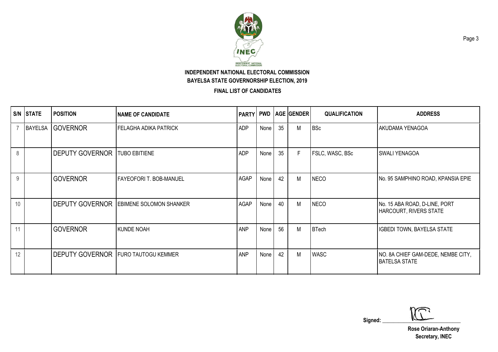

**FINAL LIST OF CANDIDATES**

|    | S/N STATE      | <b>POSITION</b>                            | <b>NAME OF CANDIDATE</b>       | PARTY PWD   |      |    | <b>AGE GENDER</b> | <b>QUALIFICATION</b> | <b>ADDRESS</b>                                                 |
|----|----------------|--------------------------------------------|--------------------------------|-------------|------|----|-------------------|----------------------|----------------------------------------------------------------|
|    | <b>BAYELSA</b> | <b>GOVERNOR</b>                            | <b>FELAGHA ADIKA PATRICK</b>   | <b>ADP</b>  | None | 35 | M                 | <b>BSc</b>           | <b>AKUDAMA YENAGOA</b>                                         |
| 8  |                | <b>DEPUTY GOVERNOR</b>                     | <b>TUBO EBITIENE</b>           | <b>ADP</b>  | None | 35 | F.                | FSLC, WASC, BSc      | <b>SWALI YENAGOA</b>                                           |
| 9  |                | <b>GOVERNOR</b>                            | <b>FAYEOFORI T. BOB-MANUEL</b> | <b>AGAP</b> | None | 42 | M                 | <b>NECO</b>          | No. 95 SAMPHINO ROAD, KPANSIA EPIE                             |
| 10 |                | <b>DEPUTY GOVERNOR</b>                     | <b>EBIMENE SOLOMON SHANKER</b> | <b>AGAP</b> | None | 40 | M                 | <b>NECO</b>          | No. 15 ABA ROAD, D-LINE, PORT<br><b>HARCOURT, RIVERS STATE</b> |
| 11 |                | <b>GOVERNOR</b>                            | <b>KUNDE NOAH</b>              | <b>ANP</b>  | None | 56 | M                 | BTech                | IGBEDI TOWN, BAYELSA STATE                                     |
| 12 |                | <b>DEPUTY GOVERNOR FURO TAUTOGU KEMMER</b> |                                | <b>ANP</b>  | None | 42 | M                 | <b>WASC</b>          | NO. 8A CHIEF GAM-DEDE, NEMBE CITY,<br><b>BATELSA STATE</b>     |

 $Signed:$   $\sqrt{2}$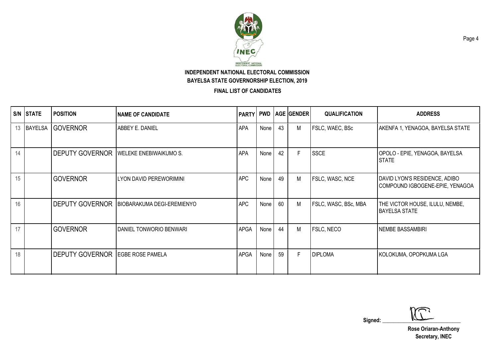

**FINAL LIST OF CANDIDATES**

|    | S/N STATE      | <b>POSITION</b>                         | <b>NAME OF CANDIDATE</b>                            | <b>PARTY</b> |             |    | <b>PWD   AGE   GENDER</b> | <b>QUALIFICATION</b> | <b>ADDRESS</b>                                                   |
|----|----------------|-----------------------------------------|-----------------------------------------------------|--------------|-------------|----|---------------------------|----------------------|------------------------------------------------------------------|
| 13 | <b>BAYELSA</b> | <b>GOVERNOR</b>                         | ABBEY E. DANIEL                                     | APA          | <b>None</b> | 43 | Μ                         | FSLC, WAEC, BSc      | AKENFA 1, YENAGOA, BAYELSA STATE                                 |
| 14 |                | <b>DEPUTY GOVERNOR</b>                  | <b>WELEKE ENEBIWAIKUMO S.</b>                       | APA          | None        | 42 | F                         | <b>SSCE</b>          | OPOLO - EPIE, YENAGOA, BAYELSA<br><b>STATE</b>                   |
| 15 |                | <b>GOVERNOR</b>                         | LYON DAVID PEREWORIMINI                             | <b>APC</b>   | None        | 49 | М                         | FSLC, WASC, NCE      | DAVID LYON'S RESIDENCE, ADIBO<br>COMPOUND IGBOGENE-EPIE, YENAGOA |
| 16 |                |                                         | <b>DEPUTY GOVERNOR   BIOBARAKUMA DEGI-EREMIENYO</b> | <b>APC</b>   | None        | 60 | М                         | FSLC, WASC, BSc, MBA | THE VICTOR HOUSE, ILULU, NEMBE,<br><b>BAYELSA STATE</b>          |
| 17 |                | <b>GOVERNOR</b>                         | DANIEL TONWORIO BENWARI                             | <b>APGA</b>  | None        | 44 | М                         | FSLC, NECO           | NEMBE BASSAMBIRI                                                 |
| 18 |                | <b>DEPUTY GOVERNOR EGBE ROSE PAMELA</b> |                                                     | <b>APGA</b>  | None        | 59 | F                         | <b>DIPLOMA</b>       | KOLOKUMA, OPOPKUMA LGA                                           |

 $Signed:$   $\sqrt{2}$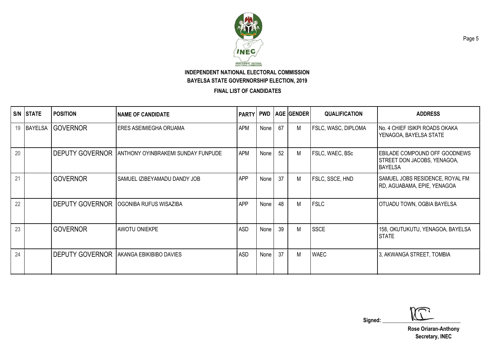

**FINAL LIST OF CANDIDATES**

| S/N | <b>STATE</b> | <b>POSITION</b>        | <b>NAME OF CANDIDATE</b>                       | PARTY PWD  |      |    | <b>AGE GENDER</b> | <b>QUALIFICATION</b> | <b>ADDRESS</b>                                                                        |
|-----|--------------|------------------------|------------------------------------------------|------------|------|----|-------------------|----------------------|---------------------------------------------------------------------------------------|
| 19  |              | BAYELSA GOVERNOR       | ERES ASEIMIEGHA ORUAMA                         | <b>APM</b> | None | 67 | M                 | FSLC, WASC, DIPLOMA  | No. 4 CHIEF ISIKPI ROADS OKAKA<br>YENAGOA, BAYELSA STATE                              |
| 20  |              | <b>DEPUTY GOVERNOR</b> | ANTHONY OYINBRAKEMI SUNDAY FUNPUDE             | <b>APM</b> | None | 52 | M                 | FSLC, WAEC, BSc      | <b>EBILADE COMPOUND OFF GOODNEWS</b><br>STREET DON JACOBS, YENAGOA,<br><b>BAYELSA</b> |
| 21  |              | <b>GOVERNOR</b>        | SAMUEL IZIBEYAMADU DANDY JOB                   | <b>APP</b> | None | 37 | M                 | FSLC, SSCE, HND      | SAMUEL JOBS RESIDENCE, ROYAL FM<br>RD, AGUABAMA, EPIE, YENAGOA                        |
| 22  |              | <b>DEPUTY GOVERNOR</b> | OGONIBA RUFUS WISAZIBA                         | <b>APP</b> | None | 48 | M                 | <b>FSLC</b>          | OTUADU TOWN, OGBIA BAYELSA                                                            |
| 23  |              | <b>GOVERNOR</b>        | <b>AWOTU ONIEKPE</b>                           | <b>ASD</b> | None | 39 | М                 | <b>SSCE</b>          | 158, OKUTUKUTU, YENAGOA, BAYELSA<br><b>STATE</b>                                      |
| 24  |              |                        | <b>DEPUTY GOVERNOR AKANGA EBIKIBIBO DAVIES</b> | ASD        | None | 37 | М                 | <b>WAEC</b>          | 3, AKWANGA STREET, TOMBIA                                                             |

 $Signed:$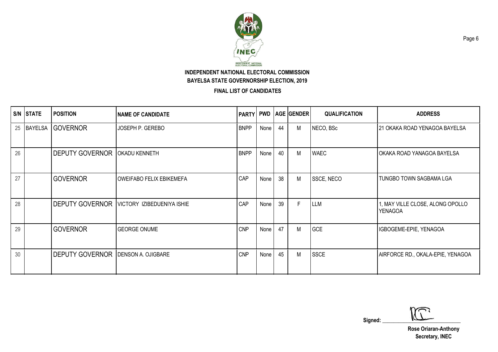

**FINAL LIST OF CANDIDATES**

|    | S/N STATE | <b>POSITION</b>        | <b>NAME OF CANDIDATE</b>        |             |      |    | <b>PARTY PWD AGE GENDER</b> | <b>QUALIFICATION</b> | <b>ADDRESS</b>                              |
|----|-----------|------------------------|---------------------------------|-------------|------|----|-----------------------------|----------------------|---------------------------------------------|
| 25 |           | BAYELSA GOVERNOR       | JOSEPH P. GEREBO                | <b>BNPP</b> | None | 44 | M                           | NECO, BSc            | 21 OKAKA ROAD YENAGOA BAYELSA               |
| 26 |           | <b>DEPUTY GOVERNOR</b> | <b>OKADU KENNETH</b>            | <b>BNPP</b> | None | 40 | М                           | <b>WAEC</b>          | OKAKA ROAD YANAGOA BAYELSA                  |
| 27 |           | <b>GOVERNOR</b>        | <b>OWEIFABO FELIX EBIKEMEFA</b> | CAP         | None | 38 | M                           | SSCE, NECO           | TUNGBO TOWN SAGBAMA LGA                     |
| 28 |           | <b>DEPUTY GOVERNOR</b> | VICTORY IZIBEDUENIYA ISHIE      | CAP         | None | 39 | F                           | <b>LLM</b>           | 1, MAY VILLE CLOSE, ALONG OPOLLO<br>YENAGOA |
| 29 |           | <b>GOVERNOR</b>        | <b>GEORGE ONUME</b>             | <b>CNP</b>  | None | 47 | М                           | <b>GCE</b>           | IGBOGEME-EPIE, YENAGOA                      |
| 30 |           | <b>DEPUTY GOVERNOR</b> | DENSON A. OJIGBARE              | <b>CNP</b>  | None | 45 | M                           | <b>SSCE</b>          | AIRFORCE RD., OKALA-EPIE, YENAGOA           |

 $Signed:$ 

**Rose Oriaran-Anthony Secretary, INEC**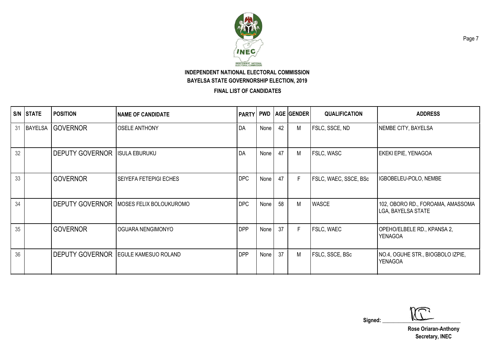

**FINAL LIST OF CANDIDATES**

| S/N | <b>STATE</b> | <b>POSITION</b>        | <b>INAME OF CANDIDATE</b>                        | <b>PARTY PWD</b> |      |    | <b>AGE GENDER</b> | <b>QUALIFICATION</b>  | <b>ADDRESS</b>                                          |
|-----|--------------|------------------------|--------------------------------------------------|------------------|------|----|-------------------|-----------------------|---------------------------------------------------------|
| 31  |              | BAYELSA GOVERNOR       | <b>OSELE ANTHONY</b>                             | DA               | None | 42 | Μ                 | FSLC, SSCE, ND        | NEMBE CITY, BAYELSA                                     |
| 32  |              | <b>DEPUTY GOVERNOR</b> | <b>ISULA EBURUKU</b>                             | DA               | None | 47 | Μ                 | FSLC, WASC            | EKEKI EPIE, YENAGOA                                     |
| 33  |              | <b>GOVERNOR</b>        | <b>SEIYEFA FETEPIGI ECHES</b>                    | <b>DPC</b>       | None | 47 | F                 | FSLC, WAEC, SSCE, BSc | IGBOBELEU-POLO, NEMBE                                   |
| 34  |              |                        | <b>DEPUTY GOVERNOR   MOSES FELIX BOLOUKUROMO</b> | <b>DPC</b>       | None | 58 | Μ                 | <b>WASCE</b>          | 102, OBORO RD., FOROAMA, AMASSOMA<br>LGA, BAYELSA STATE |
| 35  |              | <b>GOVERNOR</b>        | OGUARA NENGIMONYO                                | <b>DPP</b>       | None | 37 | F                 | <b>FSLC, WAEC</b>     | OPEHO/ELBELE RD., KPANSA 2,<br><b>YENAGOA</b>           |
| 36  |              |                        | <b>DEPUTY GOVERNOR EGULE KAMESUO ROLAND</b>      | <b>DPP</b>       | None | 37 | M                 | FSLC, SSCE, BSc       | NO.4, OGUHE STR., BIOGBOLO IZPIE,<br>YENAGOA            |

 $Signed:$   $\sqrt{2}$ 

**Rose Oriaran-Anthony Secretary, INEC**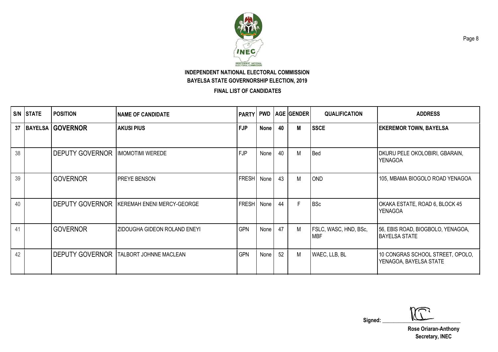

**FINAL LIST OF CANDIDATES**

|    | <b>S/N STATE</b> | <b>POSITION</b>         | INAME OF CANDIDATE                              | PARTY PWD    |             |    | <b>AGE GENDER</b> | <b>QUALIFICATION</b>         | <b>ADDRESS</b>                                             |
|----|------------------|-------------------------|-------------------------------------------------|--------------|-------------|----|-------------------|------------------------------|------------------------------------------------------------|
| 37 |                  | <b>BAYELSA GOVERNOR</b> | <b>AKUSI PIUS</b>                               | <b>FJP</b>   | <b>None</b> | 40 | М                 | <b>SSCE</b>                  | <b>EKEREMOR TOWN, BAYELSA</b>                              |
| 38 |                  | <b>DEPUTY GOVERNOR</b>  | <b>IMOMOTIMI WEREDE</b>                         | <b>FJP</b>   | None        | 40 | M                 | <b>Bed</b>                   | DKURU PELE OKOLOBIRI, GBARAIN,<br><b>YENAGOA</b>           |
| 39 |                  | <b>GOVERNOR</b>         | PREYE BENSON                                    | <b>FRESH</b> | None        | 43 | M                 | <b>OND</b>                   | 105, MBAMA BIOGOLO ROAD YENAGOA                            |
| 40 |                  | <b>DEPUTY GOVERNOR</b>  | KEREMAH ENENI MERCY-GEORGE                      | <b>FRESH</b> | None        | 44 | F.                | <b>BSc</b>                   | OKAKA ESTATE, ROAD 6, BLOCK 45<br><b>YENAGOA</b>           |
| 41 |                  | <b>GOVERNOR</b>         | ZIDOUGHA GIDEON ROLAND ENEYI                    | <b>GPN</b>   | None        | 47 | M                 | FSLC, WASC, HND, BSc,<br>MBF | 56, EBIS ROAD, BIOGBOLO, YENAGOA,<br><b>BAYELSA STATE</b>  |
| 42 |                  |                         | <b>DEPUTY GOVERNOR   TALBORT JOHNNE MACLEAN</b> | <b>GPN</b>   | None        | 52 | M                 | WAEC, LLB, BL                | 10 CONGRAS SCHOOL STREET, OPOLO,<br>YENAGOA, BAYELSA STATE |

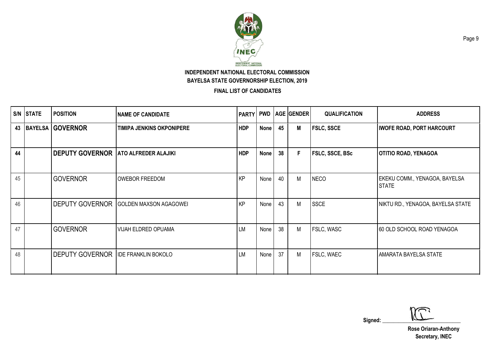

|    | S/N STATE | <b>POSITION</b>                              | <b>NAME OF CANDIDATE</b>         |            |             |    | <b>PARTY PWD AGE GENDER</b> | <b>QUALIFICATION</b> | <b>ADDRESS</b>                                |
|----|-----------|----------------------------------------------|----------------------------------|------------|-------------|----|-----------------------------|----------------------|-----------------------------------------------|
|    |           | 43   BAYELSA   GOVERNOR                      | <b>TIMIPA JENKINS OKPONIPERE</b> | <b>HDP</b> | None        | 45 | М                           | <b>FSLC, SSCE</b>    | <b>IWOFE ROAD, PORT HARCOURT</b>              |
| 44 |           | <b>DEPUTY GOVERNOR</b>                       | <b>ATO ALFREDER ALAJIKI</b>      | <b>HDP</b> | <b>None</b> | 38 | F                           | FSLC, SSCE, BSc      | <b>OTITIO ROAD, YENAGOA</b>                   |
| 45 |           | <b>GOVERNOR</b>                              | <b>OWEBOR FREEDOM</b>            | KP         | None        | 40 | M                           | <b>NECO</b>          | EKEKU COMM., YENAGOA, BAYELSA<br><b>STATE</b> |
| 46 |           | <b>DEPUTY GOVERNOR</b>                       | <b>GOLDEN MAXSON AGAGOWEI</b>    | KP         | None        | 43 | М                           | <b>SSCE</b>          | NIKTU RD., YENAGOA, BAYELSA STATE             |
| 47 |           | <b>GOVERNOR</b>                              | <b>VIJAH ELDRED OPUAMA</b>       | <b>LM</b>  | None        | 38 | M                           | FSLC, WASC           | 60 OLD SCHOOL ROAD YENAGOA                    |
| 48 |           | <b>DEPUTY GOVERNOR   IDE FRANKLIN BOKOLO</b> |                                  | <b>LM</b>  | None        | 37 | M                           | <b>FSLC, WAEC</b>    | <b>AMARATA BAYELSA STATE</b>                  |

 $Signed:$   $\sqrt{2}$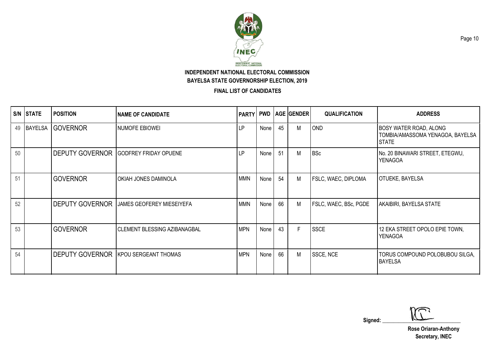

|    | S/N STATE      | <b>POSITION</b>        | <b>NAME OF CANDIDATE</b>                    | PARTY PWD  |      |    | <b>AGE GENDER</b> | <b>QUALIFICATION</b>  | <b>ADDRESS</b>                                                                    |
|----|----------------|------------------------|---------------------------------------------|------------|------|----|-------------------|-----------------------|-----------------------------------------------------------------------------------|
| 49 | <b>BAYELSA</b> | <b>GOVERNOR</b>        | <b>NUMOFE EBIOWEI</b>                       | LP         | None | 45 | M                 | <b>OND</b>            | <b>BOSY WATER ROAD, ALONG</b><br>TOMBIA/AMASSOMA YENAGOA, BAYELSA<br><b>STATE</b> |
| 50 |                | <b>DEPUTY GOVERNOR</b> | <b>GODFREY FRIDAY OPUENE</b>                | LP.        | None | 51 | M                 | <b>BSc</b>            | No. 20 BINAWARI STREET, ETEGWU,<br><b>YENAGOA</b>                                 |
| 51 |                | <b>GOVERNOR</b>        | OKIAH JONES DAMINOLA                        | <b>MMN</b> | None | 54 | M                 | FSLC, WAEC, DIPLOMA   | <b>OTUEKE, BAYELSA</b>                                                            |
| 52 |                | <b>DEPUTY GOVERNOR</b> | <b>JAMES GEOFEREY MIESEIYEFA</b>            | <b>MMN</b> | None | 66 | M                 | FSLC, WAEC, BSc, PGDE | AKAIBIRI, BAYELSA STATE                                                           |
| 53 |                | <b>GOVERNOR</b>        | <b>CLEMENT BLESSING AZIBANAGBAL</b>         | <b>MPN</b> | None | 43 | E                 | <b>SSCE</b>           | 12 EKA STREET OPOLO EPIE TOWN,<br><b>YENAGOA</b>                                  |
| 54 |                |                        | <b>DEPUTY GOVERNOR KPOU SERGEANT THOMAS</b> | <b>MPN</b> | None | 66 | M                 | SSCE, NCE             | TORUS COMPOUND POLOBUBOU SILGA,<br><b>BAYELSA</b>                                 |

 $Signed:$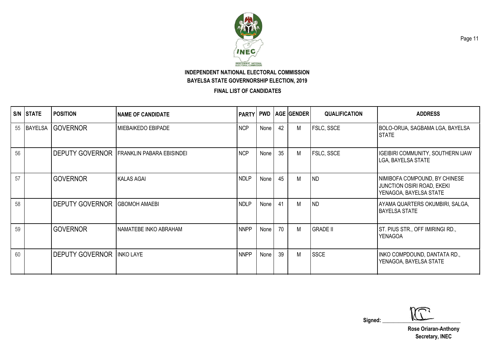

**FINAL LIST OF CANDIDATES**

| S/N | <b>STATE</b> | <b>POSITION</b>                  | <b>NAME OF CANDIDATE</b>         | <b>PARTY</b> |      |    | <b>PWD   AGE   GENDER  </b> | <b>QUALIFICATION</b> | <b>ADDRESS</b>                                                                               |
|-----|--------------|----------------------------------|----------------------------------|--------------|------|----|-----------------------------|----------------------|----------------------------------------------------------------------------------------------|
| 55  | BAYELSA      | <b>GOVERNOR</b>                  | <b>MIEBAIKEDO EBIPADE</b>        | <b>NCP</b>   | None | 42 | М                           | <b>FSLC, SSCE</b>    | BOLO-ORUA, SAGBAMA LGA, BAYELSA<br><b>STATE</b>                                              |
| 56  |              | <b>DEPUTY GOVERNOR</b>           | <b>FRANKLIN PABARA EBISINDEI</b> | <b>NCP</b>   | None | 35 | M                           | <b>FSLC, SSCE</b>    | IGEIBIRI COMMUNITY, SOUTHERN IJAW<br>LGA, BAYELSA STATE                                      |
| 57  |              | <b>GOVERNOR</b>                  | <b>KALAS AGAI</b>                | <b>NDLP</b>  | None | 45 | M                           | <b>ND</b>            | NIMIBOFA COMPOUND, BY CHINESE<br><b>JUNCTION OSIRI ROAD, EKEKI</b><br>YENAGOA, BAYELSA STATE |
| 58  |              | <b>DEPUTY GOVERNOR</b>           | <b>GBOMOH AMAEBI</b>             | <b>NDLP</b>  | None | 41 | М                           | <b>ND</b>            | AYAMA QUARTERS OKUMBIRI, SALGA,<br><b>BAYELSA STATE</b>                                      |
| 59  |              | <b>GOVERNOR</b>                  | NAMATEBE INKO ABRAHAM            | <b>NNPP</b>  | None | 70 | M                           | <b>GRADE II</b>      | ST. PIUS STR., OFF IMIRINGI RD.,<br><b>YENAGOA</b>                                           |
| 60  |              | <b>DEPUTY GOVERNOR INKO LAYE</b> |                                  | <b>NNPP</b>  | None | 39 | М                           | <b>SSCE</b>          | INKO COMPDOUND, DANTATA RD.,<br>YENAGOA, BAYELSA STATE                                       |

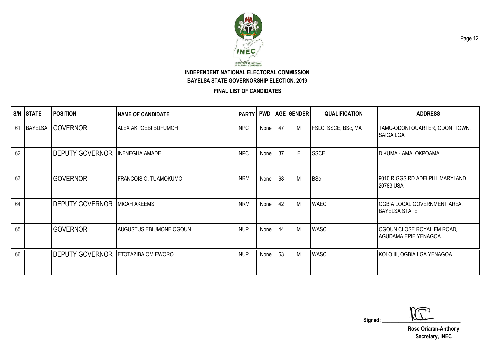

|    | S/N STATE | <b>POSITION</b>                           | <b>NAME OF CANDIDATE</b>       | <b>PARTY</b> |      |    | <b>PWD   AGE   GENDER  </b> | <b>QUALIFICATION</b> | <b>ADDRESS</b>                                       |
|----|-----------|-------------------------------------------|--------------------------------|--------------|------|----|-----------------------------|----------------------|------------------------------------------------------|
| 61 |           | BAYELSA GOVERNOR                          | <b>ALEX AKPOEBI BUFUMOH</b>    | <b>NPC</b>   | None | 47 | М                           | FSLC, SSCE, BSc, MA  | TAMU-ODONI QUARTER, ODONI TOWN,<br><b>SAIGA LGA</b>  |
| 62 |           | <b>DEPUTY GOVERNOR</b>                    | <b>INENEGHA AMADE</b>          | <b>NPC</b>   | None | 37 | F                           | <b>SSCE</b>          | DIKUMA - AMA, OKPOAMA                                |
| 63 |           | <b>GOVERNOR</b>                           | <b>FRANCOIS O. TUAMOKUMO</b>   | <b>NRM</b>   | None | 68 | M                           | <b>BSc</b>           | 9010 RIGGS RD ADELPHI MARYLAND<br>20783 USA          |
| 64 |           | <b>DEPUTY GOVERNOR</b>                    | <b>MICAH AKEEMS</b>            | <b>NRM</b>   | None | 42 | М                           | <b>WAEC</b>          | OGBIA LOCAL GOVERNMENT AREA,<br><b>BAYELSA STATE</b> |
| 65 |           | <b>GOVERNOR</b>                           | <b>AUGUSTUS EBIUMONE OGOUN</b> | <b>NUP</b>   | None | 44 | М                           | <b>WASC</b>          | OGOUN CLOSE ROYAL FM ROAD,<br>AGUDAMA EPIE YENAGOA   |
| 66 |           | <b>DEPUTY GOVERNOR ETOTAZIBA OMIEWORO</b> |                                | <b>NUP</b>   | None | 63 | М                           | <b>WASC</b>          | KOLO III, OGBIA LGA YENAGOA                          |

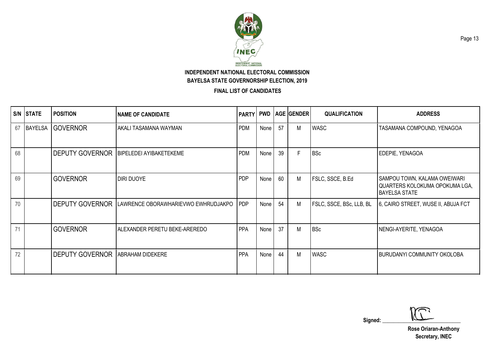

**FINAL LIST OF CANDIDATES**

| S/N | <b>STATE</b>   | <b>POSITION</b>        | <b>NAME OF CANDIDATE</b>            | <b>PARTY PWD</b> |      |    | <b>AGE GENDER</b> | <b>QUALIFICATION</b>     | <b>ADDRESS</b>                                                                         |
|-----|----------------|------------------------|-------------------------------------|------------------|------|----|-------------------|--------------------------|----------------------------------------------------------------------------------------|
| 67  | <b>BAYELSA</b> | <b>IGOVERNOR</b>       | AKALI TASAMANA WAYMAN               | <b>PDM</b>       | None | 57 | М                 | <b>WASC</b>              | TASAMANA COMPOUND, YENAGOA                                                             |
| 68  |                | <b>DEPUTY GOVERNOR</b> | BIPELEDEI AYIBAKETEKEME             | <b>PDM</b>       | None | 39 | F                 | <b>BSc</b>               | EDEPIE, YENAGOA                                                                        |
| 69  |                | <b>GOVERNOR</b>        | <b>DIRI DUOYE</b>                   | <b>PDP</b>       | None | 60 | M                 | FSLC, SSCE, B.Ed         | SAMPOU TOWN, KALAMA OWEIWARI<br>QUARTERS KOLOKUMA OPOKUMA LGA,<br><b>BAYELSA STATE</b> |
| 70  |                | <b>DEPUTY GOVERNOR</b> | LAWRENCE OBORAWHARIEVWO EWHRUDJAKPO | <b>IPDP</b>      | None | 54 | M                 | FSLC, SSCE, BSc, LLB, BL | 6, CAIRO STREET, WUSE II, ABUJA FCT                                                    |
| 71  |                | <b>GOVERNOR</b>        | ALEXANDER PERETU BEKE-AREREDO       | PPA              | None | 37 | M                 | <b>BSc</b>               | NENGI-AYERITE, YENAGOA                                                                 |
| 72  |                | <b>DEPUTY GOVERNOR</b> | <b>ABRAHAM DIDEKERE</b>             | PPA              | None | 44 | М                 | <b>WASC</b>              | <b>BURUDANYI COMMUNITY OKOLOBA</b>                                                     |

 $Signed:$   $\sqrt{2}$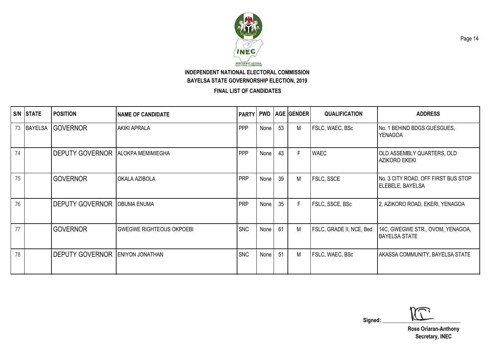

**FINAL LIST OF CANDIDATES**

|    | S/N STATE | <b>POSITION</b>        | INAME OF CANDIDATE              |            |      |    | <b>PARTY PWD AGE GENDER</b> | <b>QUALIFICATION</b>     | <b>ADDRESS</b>                                           |
|----|-----------|------------------------|---------------------------------|------------|------|----|-----------------------------|--------------------------|----------------------------------------------------------|
| 73 | BAYELSA   | <b>GOVERNOR</b>        | <b>AKIKI APRALA</b>             | PPP        | None | 53 | М                           | FSLC, WAEC, BSc          | No. 1 BEHIND BDGS GUESGUES,<br>YENAGOA                   |
| 74 |           | <b>DEPUTY GOVERNOR</b> | <b>ALOKPA MEMIMIEGHA</b>        | <b>PPP</b> | None | 43 | E                           | <b>WAEC</b>              | OLD ASSEMBLY QUARTERS, OLD<br>AZIKORO EKEKI              |
| 75 |           | <b>GOVERNOR</b>        | OKALA AZIBOLA                   | <b>PRP</b> | None | 39 | М                           | FSLC, SSCE               | No. 3 CITY ROAD, OFF FIRST BUS STOP<br>ELEBELE, BAYELSA  |
| 76 |           | <b>DEPUTY GOVERNOR</b> | <b>OBUMA ENUMA</b>              | <b>PRP</b> | None | 35 | $\mathsf{F}$                | FSLC, SSCE, BSc          | 2, AZIKORO ROAD, EKERI, YENAGOA                          |
| 77 |           | <b>GOVERNOR</b>        | <b>GWEGWE RIGHTEOUS OKPOEBI</b> | <b>SNC</b> | None | 61 | М                           | FSLC, GRADE II, NCE, Bed | 14C, GWEGWE STR., OVOM, YENAGOA,<br><b>BAYELSA STATE</b> |
| 78 |           | <b>DEPUTY GOVERNOR</b> | <b>ENIYON JONATHAN</b>          | <b>SNC</b> | None | 51 | М                           | FSLC, WAEC, BSc          | AKASSA COMMUNITY, BAYELSA STATE                          |

 $Signed:$   $\sqrt{2}$ 

**Rose Oriaran-Anthony Secretary, INEC**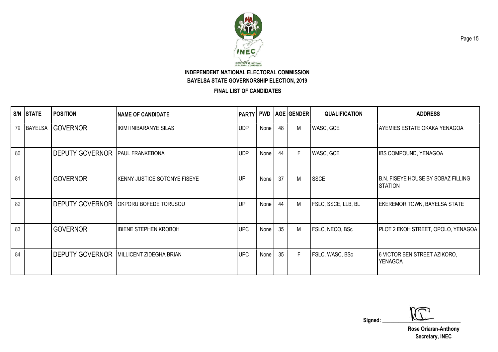

|    | S/N STATE      | <b>POSITION</b>        | <b>NAME OF CANDIDATE</b>                         | <b>PARTY</b> |      |    | <b>PWD   AGE   GENDER  </b> | <b>QUALIFICATION</b>       | <b>ADDRESS</b>                                       |
|----|----------------|------------------------|--------------------------------------------------|--------------|------|----|-----------------------------|----------------------------|------------------------------------------------------|
| 79 | <b>BAYELSA</b> | <b>GOVERNOR</b>        | <b>IKIMI INIBARANYE SILAS</b>                    | <b>UDP</b>   | None | 48 | M                           | WASC, GCE                  | <b>AYEMIES ESTATE OKAKA YENAGOA</b>                  |
| 80 |                | <b>DEPUTY GOVERNOR</b> | <b>PAUL FRANKEBONA</b>                           | <b>UDP</b>   | None | 44 | F                           | WASC, GCE                  | <b>IBS COMPOUND, YENAGOA</b>                         |
| 81 |                | <b>GOVERNOR</b>        | <b>KENNY JUSTICE SOTONYE FISEYE</b>              | UP           | None | 37 | М                           | <b>SSCE</b>                | B.N. FISEYE HOUSE BY SOBAZ FILLING<br><b>STATION</b> |
| 82 |                | <b>DEPUTY GOVERNOR</b> | OKPORU BOFEDE TORUSOU                            | UP           | None | 44 | M                           | <b>FSLC, SSCE, LLB, BL</b> | <b>EKEREMOR TOWN, BAYELSA STATE</b>                  |
| 83 |                | <b>GOVERNOR</b>        | <b>IBIENE STEPHEN KROBOH</b>                     | <b>UPC</b>   | None | 35 | М                           | FSLC, NECO, BSc            | PLOT 2 EKOH STREET, OPOLO, YENAGOA                   |
| 84 |                |                        | <b>DEPUTY GOVERNOR   MILLICENT ZIDEGHA BRIAN</b> | <b>UPC</b>   | None | 35 | F                           | FSLC, WASC, BSc            | 6 VICTOR BEN STREET AZIKORO,<br><b>YENAGOA</b>       |